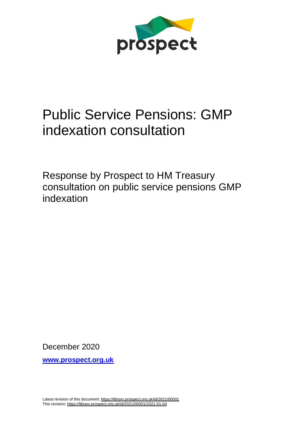

# Public Service Pensions: GMP indexation consultation

Response by Prospect to HM Treasury consultation on public service pensions GMP indexation

December 2020

**[www.prospect.org.uk](http://www.prospect.org.uk/)**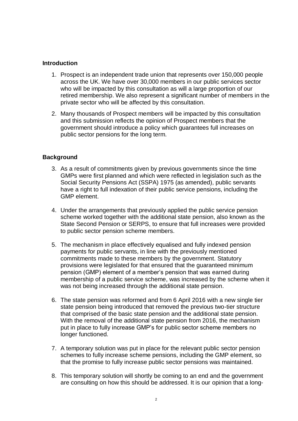## **Introduction**

- 1. Prospect is an independent trade union that represents over 150,000 people across the UK. We have over 30,000 members in our public services sector who will be impacted by this consultation as will a large proportion of our retired membership. We also represent a significant number of members in the private sector who will be affected by this consultation.
- 2. Many thousands of Prospect members will be impacted by this consultation and this submission reflects the opinion of Prospect members that the government should introduce a policy which guarantees full increases on public sector pensions for the long term.

## **Background**

- 3. As a result of commitments given by previous governments since the time GMPs were first planned and which were reflected in legislation such as the Social Security Pensions Act (SSPA) 1975 (as amended), public servants have a right to full indexation of their public service pensions, including the GMP element.
- 4. Under the arrangements that previously applied the public service pension scheme worked together with the additional state pension, also known as the State Second Pension or SERPS, to ensure that full increases were provided to public sector pension scheme members.
- 5. The mechanism in place effectively equalised and fully indexed pension payments for public servants, in line with the previously mentioned commitments made to these members by the government. Statutory provisions were legislated for that ensured that the guaranteed minimum pension (GMP) element of a member's pension that was earned during membership of a public service scheme, was increased by the scheme when it was not being increased through the additional state pension.
- 6. The state pension was reformed and from 6 April 2016 with a new single tier state pension being introduced that removed the previous two-tier structure that comprised of the basic state pension and the additional state pension. With the removal of the additional state pension from 2016, the mechanism put in place to fully increase GMP's for public sector scheme members no longer functioned.
- 7. A temporary solution was put in place for the relevant public sector pension schemes to fully increase scheme pensions, including the GMP element, so that the promise to fully increase public sector pensions was maintained.
- 8. This temporary solution will shortly be coming to an end and the government are consulting on how this should be addressed. It is our opinion that a long-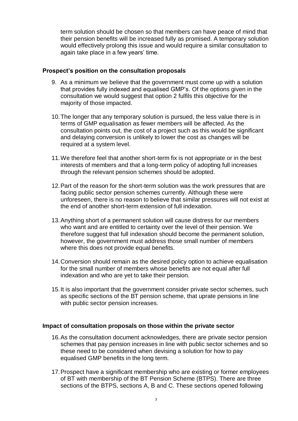term solution should be chosen so that members can have peace of mind that their pension benefits will be increased fully as promised. A temporary solution would effectively prolong this issue and would require a similar consultation to again take place in a few years' time.

## **Prospect's position on the consultation proposals**

- 9. As a minimum we believe that the government must come up with a solution that provides fully indexed and equalised GMP's. Of the options given in the consultation we would suggest that option 2 fulfils this objective for the majority of those impacted.
- 10.The longer that any temporary solution is pursued, the less value there is in terms of GMP equalisation as fewer members will be affected. As the consultation points out, the cost of a project such as this would be significant and delaying conversion is unlikely to lower the cost as changes will be required at a system level.
- 11.We therefore feel that another short-term fix is not appropriate or in the best interests of members and that a long-term policy of adopting full increases through the relevant pension schemes should be adopted.
- 12.Part of the reason for the short-term solution was the work pressures that are facing public sector pension schemes currently. Although these were unforeseen, there is no reason to believe that similar pressures will not exist at the end of another short-term extension of full indexation.
- 13.Anything short of a permanent solution will cause distress for our members who want and are entitled to certainty over the level of their pension. We therefore suggest that full indexation should become the permanent solution, however, the government must address those small number of members where this does not provide equal benefits.
- 14.Conversion should remain as the desired policy option to achieve equalisation for the small number of members whose benefits are not equal after full indexation and who are yet to take their pension.
- 15.It is also important that the government consider private sector schemes, such as specific sections of the BT pension scheme, that uprate pensions in line with public sector pension increases.

#### **Impact of consultation proposals on those within the private sector**

- 16.As the consultation document acknowledges, there are private sector pension schemes that pay pension increases in line with public sector schemes and so these need to be considered when devising a solution for how to pay equalised GMP benefits in the long term.
- 17.Prospect have a significant membership who are existing or former employees of BT with membership of the BT Pension Scheme (BTPS). There are three sections of the BTPS, sections A, B and C. These sections opened following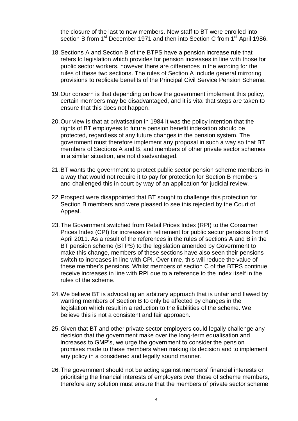the closure of the last to new members. New staff to BT were enrolled into section B from 1<sup>st</sup> December 1971 and then into Section C from 1<sup>st</sup> April 1986.

- 18.Sections A and Section B of the BTPS have a pension increase rule that refers to legislation which provides for pension increases in line with those for public sector workers, however there are differences in the wording for the rules of these two sections. The rules of Section A include general mirroring provisions to replicate benefits of the Principal Civil Service Pension Scheme.
- 19.Our concern is that depending on how the government implement this policy, certain members may be disadvantaged, and it is vital that steps are taken to ensure that this does not happen.
- 20.Our view is that at privatisation in 1984 it was the policy intention that the rights of BT employees to future pension benefit indexation should be protected, regardless of any future changes in the pension system. The government must therefore implement any proposal in such a way so that BT members of Sections A and B, and members of other private sector schemes in a similar situation, are not disadvantaged.
- 21.BT wants the government to protect public sector pension scheme members in a way that would not require it to pay for protection for Section B members and challenged this in court by way of an application for judicial review.
- 22.Prospect were disappointed that BT sought to challenge this protection for Section B members and were pleased to see this rejected by the Court of Appeal.
- 23.The Government switched from Retail Prices Index (RPI) to the Consumer Prices Index (CPI) for increases in retirement for public sector pensions from 6 April 2011. As a result of the references in the rules of sections A and B in the BT pension scheme (BTPS) to the legislation amended by Government to make this change, members of these sections have also seen their pensions switch to increases in line with CPI. Over time, this will reduce the value of these member's pensions. Whilst members of section C of the BTPS continue receive increases in line with RPI due to a reference to the index itself in the rules of the scheme.
- 24.We believe BT is advocating an arbitrary approach that is unfair and flawed by wanting members of Section B to only be affected by changes in the legislation which result in a reduction to the liabilities of the scheme. We believe this is not a consistent and fair approach.
- 25.Given that BT and other private sector employers could legally challenge any decision that the government make over the long-term equalisation and increases to GMP's, we urge the government to consider the pension promises made to these members when making its decision and to implement any policy in a considered and legally sound manner.
- 26.The government should not be acting against members' financial interests or prioritising the financial interests of employers over those of scheme members, therefore any solution must ensure that the members of private sector scheme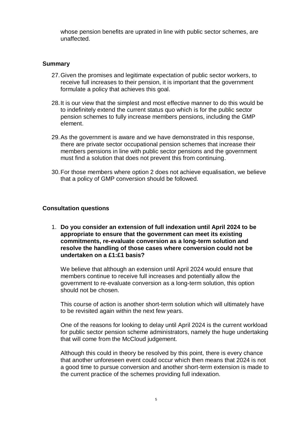whose pension benefits are uprated in line with public sector schemes, are unaffected.

# **Summary**

- 27.Given the promises and legitimate expectation of public sector workers, to receive full increases to their pension, it is important that the government formulate a policy that achieves this goal.
- 28.It is our view that the simplest and most effective manner to do this would be to indefinitely extend the current status quo which is for the public sector pension schemes to fully increase members pensions, including the GMP element.
- 29.As the government is aware and we have demonstrated in this response, there are private sector occupational pension schemes that increase their members pensions in line with public sector pensions and the government must find a solution that does not prevent this from continuing.
- 30.For those members where option 2 does not achieve equalisation, we believe that a policy of GMP conversion should be followed.

### **Consultation questions**

1. **Do you consider an extension of full indexation until April 2024 to be appropriate to ensure that the government can meet its existing commitments, re-evaluate conversion as a long-term solution and resolve the handling of those cases where conversion could not be undertaken on a £1:£1 basis?**

We believe that although an extension until April 2024 would ensure that members continue to receive full increases and potentially allow the government to re-evaluate conversion as a long-term solution, this option should not be chosen.

This course of action is another short-term solution which will ultimately have to be revisited again within the next few years.

One of the reasons for looking to delay until April 2024 is the current workload for public sector pension scheme administrators, namely the huge undertaking that will come from the McCloud judgement.

Although this could in theory be resolved by this point, there is every chance that another unforeseen event could occur which then means that 2024 is not a good time to pursue conversion and another short-term extension is made to the current practice of the schemes providing full indexation.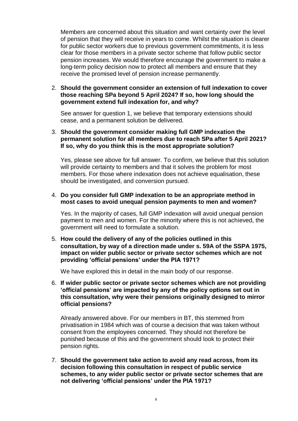Members are concerned about this situation and want certainty over the level of pension that they will receive in years to come. Whilst the situation is clearer for public sector workers due to previous government commitments, it is less clear for those members in a private sector scheme that follow public sector pension increases. We would therefore encourage the government to make a long-term policy decision now to protect all members and ensure that they receive the promised level of pension increase permanently.

2. **Should the government consider an extension of full indexation to cover those reaching SPa beyond 5 April 2024? If so, how long should the government extend full indexation for, and why?**

See answer for question 1, we believe that temporary extensions should cease, and a permanent solution be delivered.

3. **Should the government consider making full GMP indexation the permanent solution for all members due to reach SPa after 5 April 2021? If so, why do you think this is the most appropriate solution?**

Yes, please see above for full answer. To confirm, we believe that this solution will provide certainty to members and that it solves the problem for most members. For those where indexation does not achieve equalisation, these should be investigated, and conversion pursued.

#### 4. **Do you consider full GMP indexation to be an appropriate method in most cases to avoid unequal pension payments to men and women?**

Yes. In the majority of cases, full GMP indexation will avoid unequal pension payment to men and women. For the minority where this is not achieved, the government will need to formulate a solution.

5. **How could the delivery of any of the policies outlined in this consultation, by way of a direction made under s. 59A of the SSPA 1975, impact on wider public sector or private sector schemes which are not providing 'official pensions' under the PIA 1971?**

We have explored this in detail in the main body of our response.

6. **If wider public sector or private sector schemes which are not providing 'official pensions' are impacted by any of the policy options set out in this consultation, why were their pensions originally designed to mirror official pensions?**

Already answered above. For our members in BT, this stemmed from privatisation in 1984 which was of course a decision that was taken without consent from the employees concerned. They should not therefore be punished because of this and the government should look to protect their pension rights.

7. **Should the government take action to avoid any read across, from its decision following this consultation in respect of public service schemes, to any wider public sector or private sector schemes that are not delivering 'official pensions' under the PIA 1971?**